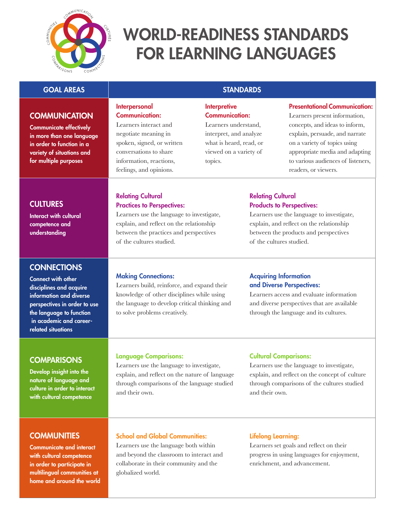

# World-Readiness Standards for Learning Languages

## GOAL AREAS STANDARDS

# **COMMUNICATION**

Communicate effectively in more than one language in order to function in a variety of situations and for multiple purposes

#### Interpersonal Communication:

Learners interact and negotiate meaning in spoken, signed, or written conversations to share information, reactions, feelings, and opinions.

# **Interpretive** Communication:

Learners understand, interpret, and analyze what is heard, read, or viewed on a variety of topics.

#### Presentational Communication:

Learners present information, concepts, and ideas to inform, explain, persuade, and narrate on a variety of topics using appropriate media and adapting to various audiences of listeners, readers, or viewers.

# **CULTURES**

Interact with cultural competence and understanding

# **CONNECTIONS**

Connect with other disciplines and acquire information and diverse perspectives in order to use the language to function in academic and careerrelated situations

# **COMPARISONS**

Develop insight into the nature of language and culture in order to interact with cultural competence

# **COMMUNITIES**

Communicate and interact with cultural competence in order to participate in multilingual communities at home and around the world

#### Relating Cultural Practices to Perspectives:

Learners use the language to investigate, explain, and reflect on the relationship between the practices and perspectives of the cultures studied.

# **Making Connections:**

Learners build, reinforce, and expand their knowledge of other disciplines while using the language to develop critical thinking and to solve problems creatively.

## Relating Cultural Products to Perspectives:

Learners use the language to investigate, explain, and reflect on the relationship between the products and perspectives of the cultures studied.

## Acquiring Information and Diverse Perspectives:

Learners access and evaluate information and diverse perspectives that are available through the language and its cultures.

# Language Comparisons:

Learners use the language to investigate, explain, and reflect on the nature of language through comparisons of the language studied and their own.

# Cultural Comparisons:

Learners use the language to investigate, explain, and reflect on the concept of culture through comparisons of the cultures studied and their own.

# School and Global Communities:

Learners use the language both within and beyond the classroom to interact and collaborate in their community and the globalized world.

#### Lifelong Learning:

Learners set goals and reflect on their progress in using languages for enjoyment, enrichment, and advancement.